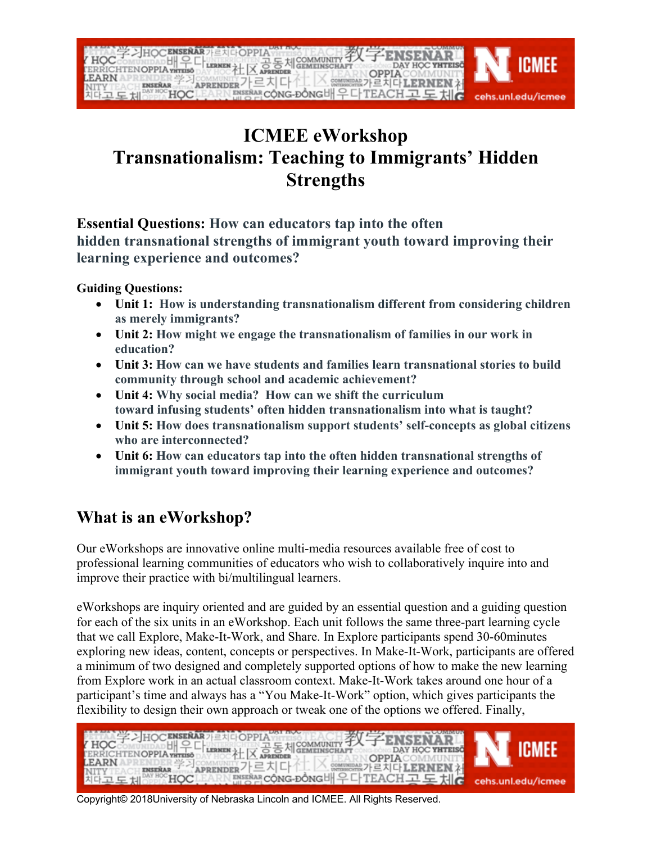

## **ICMEE eWorkshop Transnationalism: Teaching to Immigrants' Hidden Strengths**

**Essential Questions: How can educators tap into the often hidden transnational strengths of immigrant youth toward improving their learning experience and outcomes?**

**Guiding Questions:**

- **Unit 1: How is understanding transnationalism different from considering children as merely immigrants?**
- **Unit 2: How might we engage the transnationalism of families in our work in education?**
- **Unit 3: How can we have students and families learn transnational stories to build community through school and academic achievement?**
- **Unit 4: Why social media? How can we shift the curriculum toward infusing students' often hidden transnationalism into what is taught?**
- **Unit 5: How does transnationalism support students' self-concepts as global citizens who are interconnected?**
- **Unit 6: How can educators tap into the often hidden transnational strengths of immigrant youth toward improving their learning experience and outcomes?**

## **What is an eWorkshop?**

Our eWorkshops are innovative online multi-media resources available free of cost to professional learning communities of educators who wish to collaboratively inquire into and improve their practice with bi/multilingual learners.

eWorkshops are inquiry oriented and are guided by an essential question and a guiding question for each of the six units in an eWorkshop. Each unit follows the same three-part learning cycle that we call Explore, Make-It-Work, and Share. In Explore participants spend 30-60minutes exploring new ideas, content, concepts or perspectives. In Make-It-Work, participants are offered a minimum of two designed and completely supported options of how to make the new learning from Explore work in an actual classroom context. Make-It-Work takes around one hour of a participant's time and always has a "You Make-It-Work" option, which gives participants the flexibility to design their own approach or tweak one of the options we offered. Finally,

| HOC HISTORY AND REAL SEARCH AND DAY HOC VETERS AND THE REAL TO THE REAL PROPERTY OF THE REAL PROPERTY OF THE REAL PROPERTY OF THE REAL PROPERTY OF THE REAL PROPERTY OF THE REAL PROPERTY OF THE REAL PROPERTY OF THE REAL PRO |  |
|--------------------------------------------------------------------------------------------------------------------------------------------------------------------------------------------------------------------------------|--|
|                                                                                                                                                                                                                                |  |

Copyright© 2018University of Nebraska Lincoln and ICMEE. All Rights Reserved.